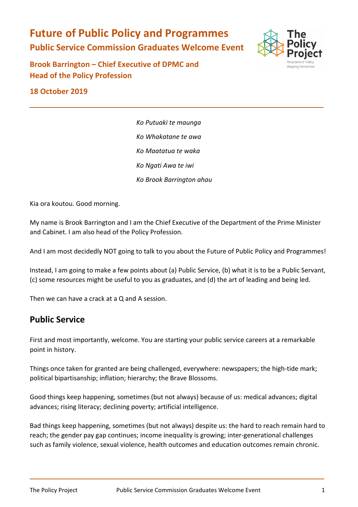**Future of Public Policy and Programmes Public Service Commission Graduates Welcome Event** 



**Brook Barrington – Chief Executive of DPMC and Head of the Policy Profession** 

**18 October 2019** 

*Ko Putuaki te maunga Ko Whakatane te awa Ko Maatatua te waka Ko Ngati Awa te iwi Ko Brook Barrington ahau*

Kia ora koutou. Good morning.

My name is Brook Barrington and I am the Chief Executive of the Department of the Prime Minister and Cabinet. I am also head of the Policy Profession.

And I am most decidedly NOT going to talk to you about the Future of Public Policy and Programmes!

Instead, I am going to make a few points about (a) Public Service, (b) what it is to be a Public Servant, (c) some resources might be useful to you as graduates, and (d) the art of leading and being led.

Then we can have a crack at a Q and A session.

## **Public Service**

First and most importantly, welcome. You are starting your public service careers at a remarkable point in history.

Things once taken for granted are being challenged, everywhere: newspapers; the high-tide mark; political bipartisanship; inflation; hierarchy; the Brave Blossoms.

Good things keep happening, sometimes (but not always) because of us: medical advances; digital advances; rising literacy; declining poverty; artificial intelligence.

Bad things keep happening, sometimes (but not always) despite us: the hard to reach remain hard to reach; the gender pay gap continues; income inequality is growing; inter-generational challenges such as family violence, sexual violence, health outcomes and education outcomes remain chronic.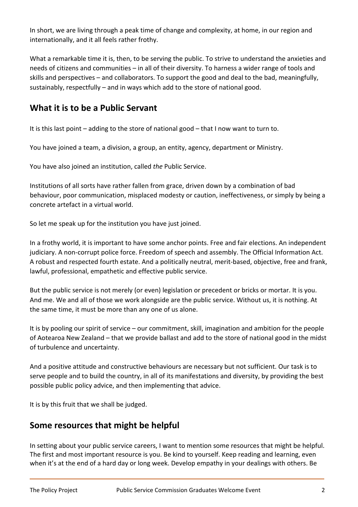In short, we are living through a peak time of change and complexity, at home, in our region and internationally, and it all feels rather frothy.

What a remarkable time it is, then, to be serving the public. To strive to understand the anxieties and needs of citizens and communities – in all of their diversity. To harness a wider range of tools and skills and perspectives – and collaborators. To support the good and deal to the bad, meaningfully, sustainably, respectfully – and in ways which add to the store of national good.

## **What it is to be a Public Servant**

It is this last point – adding to the store of national good – that I now want to turn to.

You have joined a team, a division, a group, an entity, agency, department or Ministry.

You have also joined an institution, called *the* Public Service.

Institutions of all sorts have rather fallen from grace, driven down by a combination of bad behaviour, poor communication, misplaced modesty or caution, ineffectiveness, or simply by being a concrete artefact in a virtual world.

So let me speak up for the institution you have just joined.

In a frothy world, it is important to have some anchor points. Free and fair elections. An independent judiciary. A non-corrupt police force. Freedom of speech and assembly. The Official Information Act. A robust and respected fourth estate. And a politically neutral, merit-based, objective, free and frank, lawful, professional, empathetic and effective public service.

But the public service is not merely (or even) legislation or precedent or bricks or mortar. It is you. And me. We and all of those we work alongside are the public service. Without us, it is nothing. At the same time, it must be more than any one of us alone.

It is by pooling our spirit of service – our commitment, skill, imagination and ambition for the people of Aotearoa New Zealand – that we provide ballast and add to the store of national good in the midst of turbulence and uncertainty.

And a positive attitude and constructive behaviours are necessary but not sufficient. Our task is to serve people and to build the country, in all of its manifestations and diversity, by providing the best possible public policy advice, and then implementing that advice.

It is by this fruit that we shall be judged.

## **Some resources that might be helpful**

In setting about your public service careers, I want to mention some resources that might be helpful. The first and most important resource is you. Be kind to yourself. Keep reading and learning, even when it's at the end of a hard day or long week. Develop empathy in your dealings with others. Be